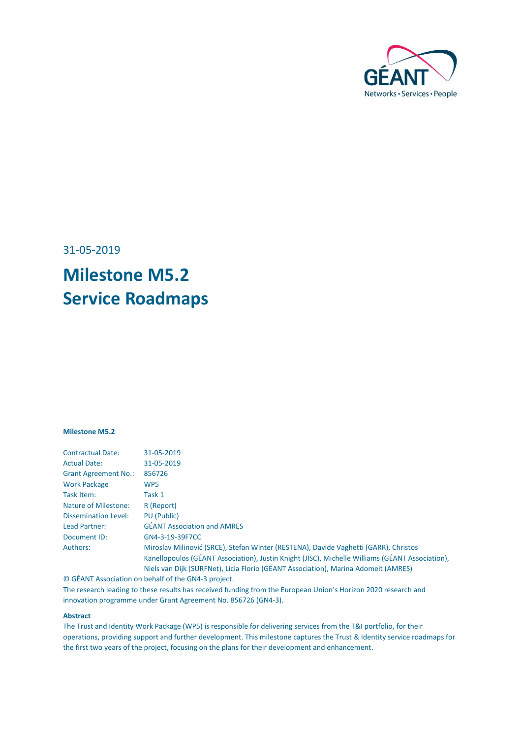

31-05-2019

# **Milestone M5.2 Service Roadmaps**

#### **Milestone M5.2**

| <b>Contractual Date:</b>    | 31-05-2019                                                                                      |
|-----------------------------|-------------------------------------------------------------------------------------------------|
| <b>Actual Date:</b>         | 31-05-2019                                                                                      |
| <b>Grant Agreement No.:</b> | 856726                                                                                          |
| <b>Work Package</b>         | WP <sub>5</sub>                                                                                 |
| Task Item:                  | Task 1                                                                                          |
| <b>Nature of Milestone:</b> | R (Report)                                                                                      |
| <b>Dissemination Level:</b> | PU (Public)                                                                                     |
| Lead Partner:               | <b>GÉANT Association and AMRES</b>                                                              |
| Document ID:                | GN4-3-19-39F7CC                                                                                 |
| Authors:                    | Miroslav Milinović (SRCE), Stefan Winter (RESTENA), Davide Vaghetti (GARR), Christos            |
|                             | Kanellopoulos (GÉANT Association), Justin Knight (JISC), Michelle Williams (GÉANT Association), |
|                             | Niels van Dijk (SURFNet), Licia Florio (GÉANT Association), Marina Adomeit (AMRES)              |
|                             |                                                                                                 |

© GÉANT Association on behalf of the GN4-3 project.

The research leading to these results has received funding from the European Union's Horizon 2020 research and innovation programme under Grant Agreement No. 856726 (GN4-3).

#### **Abstract**

The Trust and Identity Work Package (WP5) is responsible for delivering services from the T&I portfolio, for their operations, providing support and further development. This milestone captures the Trust & Identity service roadmaps for the first two years of the project, focusing on the plans for their development and enhancement.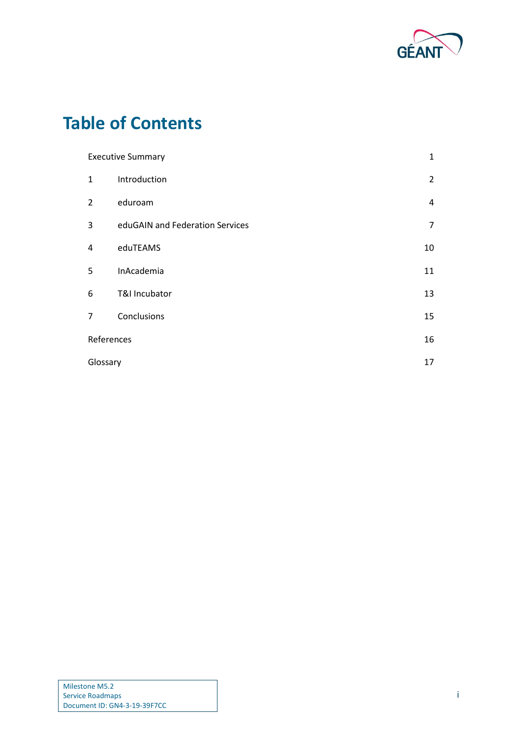

# **Table of Contents**

| <b>Executive Summary</b> |                                 | $\mathbf{1}$   |
|--------------------------|---------------------------------|----------------|
| $\mathbf{1}$             | Introduction                    | $\overline{2}$ |
| $\overline{2}$           | eduroam                         | $\overline{4}$ |
| 3                        | eduGAIN and Federation Services | $\overline{7}$ |
| 4                        | eduTEAMS                        | 10             |
| 5                        | InAcademia                      | 11             |
| 6                        | T&I Incubator                   | 13             |
| $\overline{7}$           | Conclusions                     | 15             |
| References               |                                 | 16             |
|                          | Glossary                        |                |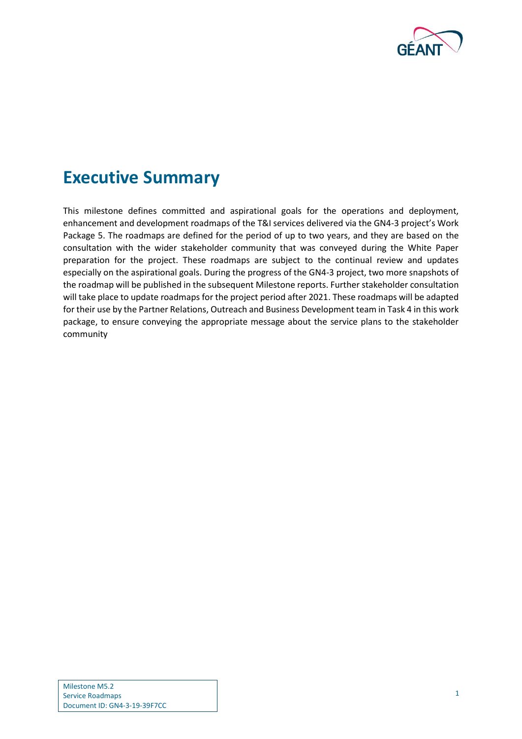

# <span id="page-2-0"></span>**Executive Summary**

This milestone defines committed and aspirational goals for the operations and deployment, enhancement and development roadmaps of the T&I services delivered via the GN4-3 project's Work Package 5. The roadmaps are defined for the period of up to two years, and they are based on the consultation with the wider stakeholder community that was conveyed during the White Paper preparation for the project. These roadmaps are subject to the continual review and updates especially on the aspirational goals. During the progress of the GN4-3 project, two more snapshots of the roadmap will be published in the subsequent Milestone reports. Further stakeholder consultation will take place to update roadmaps for the project period after 2021. These roadmaps will be adapted for their use by the Partner Relations, Outreach and Business Development team in Task 4 in this work package, to ensure conveying the appropriate message about the service plans to the stakeholder community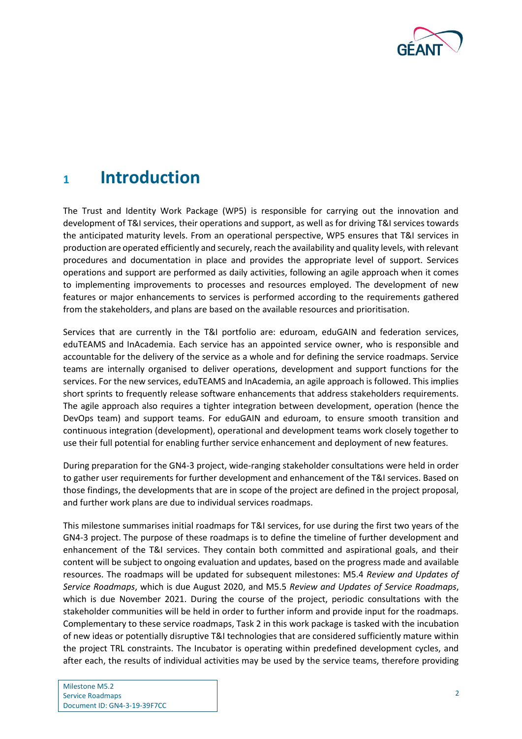

# <span id="page-3-0"></span>**<sup>1</sup> Introduction**

The Trust and Identity Work Package (WP5) is responsible for carrying out the innovation and development of T&I services, their operations and support, as well as for driving T&I services towards the anticipated maturity levels. From an operational perspective, WP5 ensures that T&I services in production are operated efficiently and securely, reach the availability and quality levels, with relevant procedures and documentation in place and provides the appropriate level of support. Services operations and support are performed as daily activities, following an agile approach when it comes to implementing improvements to processes and resources employed. The development of new features or major enhancements to services is performed according to the requirements gathered from the stakeholders, and plans are based on the available resources and prioritisation.

Services that are currently in the T&I portfolio are: eduroam, eduGAIN and federation services, eduTEAMS and InAcademia. Each service has an appointed service owner, who is responsible and accountable for the delivery of the service as a whole and for defining the service roadmaps. Service teams are internally organised to deliver operations, development and support functions for the services. For the new services, eduTEAMS and InAcademia, an agile approach is followed. This implies short sprints to frequently release software enhancements that address stakeholders requirements. The agile approach also requires a tighter integration between development, operation (hence the DevOps team) and support teams. For eduGAIN and eduroam, to ensure smooth transition and continuous integration (development), operational and development teams work closely together to use their full potential for enabling further service enhancement and deployment of new features.

During preparation for the GN4-3 project, wide-ranging stakeholder consultations were held in order to gather user requirements for further development and enhancement of the T&I services. Based on those findings, the developments that are in scope of the project are defined in the project proposal, and further work plans are due to individual services roadmaps.

This milestone summarises initial roadmaps for T&I services, for use during the first two years of the GN4-3 project. The purpose of these roadmaps is to define the timeline of further development and enhancement of the T&I services. They contain both committed and aspirational goals, and their content will be subject to ongoing evaluation and updates, based on the progress made and available resources. The roadmaps will be updated for subsequent milestones: M5.4 *Review and Updates of Service Roadmaps*, which is due August 2020, and M5.5 *Review and Updates of Service Roadmaps*, which is due November 2021. During the course of the project, periodic consultations with the stakeholder communities will be held in order to further inform and provide input for the roadmaps. Complementary to these service roadmaps, Task 2 in this work package is tasked with the incubation of new ideas or potentially disruptive T&I technologies that are considered sufficiently mature within the project TRL constraints. The Incubator is operating within predefined development cycles, and after each, the results of individual activities may be used by the service teams, therefore providing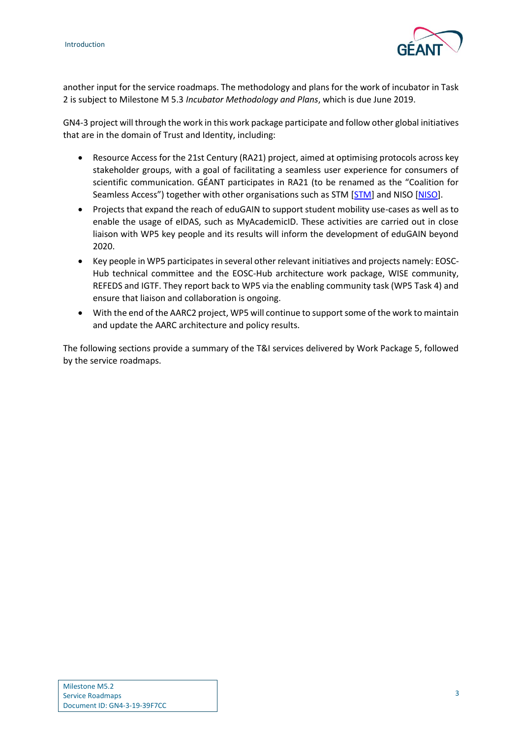

another input for the service roadmaps. The methodology and plans for the work of incubator in Task 2 is subject to Milestone M 5.3 *Incubator Methodology and Plans*, which is due June 2019.

GN4-3 project will through the work in this work package participate and follow other global initiatives that are in the domain of Trust and Identity, including:

- Resource Access for the 21st Century (RA21) project, aimed at optimising protocols across key stakeholder groups, with a goal of facilitating a seamless user experience for consumers of scientific communication. GÉANT participates in RA21 (to be renamed as the "Coalition for Seamless Access") together with other organisations such as STM [[STM\]](#page-17-1) and NISO [\[NISO\]](#page-17-2).
- Projects that expand the reach of eduGAIN to support student mobility use-cases as well as to enable the usage of eIDAS, such as MyAcademicID. These activities are carried out in close liaison with WP5 key people and its results will inform the development of eduGAIN beyond 2020.
- Key people in WP5 participates in several other relevant initiatives and projects namely: EOSC-Hub technical committee and the EOSC-Hub architecture work package, WISE community, REFEDS and IGTF. They report back to WP5 via the enabling community task (WP5 Task 4) and ensure that liaison and collaboration is ongoing.
- With the end of the AARC2 project, WP5 will continue to support some of the work to maintain and update the AARC architecture and policy results.

The following sections provide a summary of the T&I services delivered by Work Package 5, followed by the service roadmaps.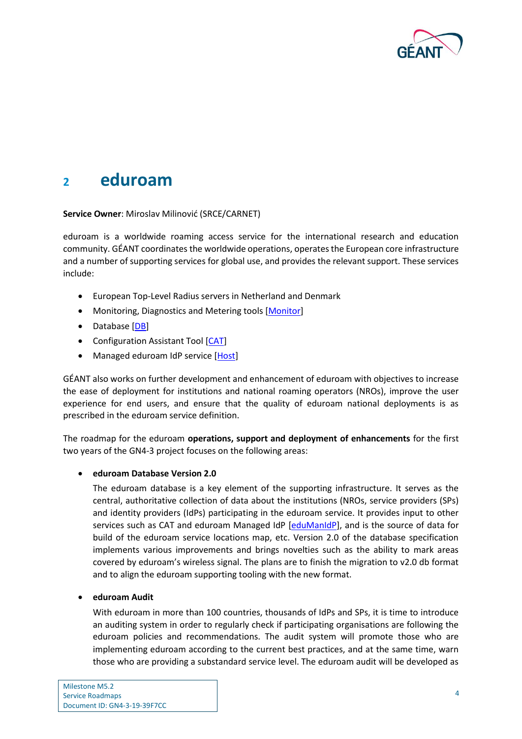

## <span id="page-5-0"></span>**<sup>2</sup> eduroam**

**Service Owner**: Miroslav Milinović (SRCE/CARNET)

eduroam is a worldwide roaming access service for the international research and education community. GÉANT coordinates the worldwide operations, operates the European core infrastructure and a number of supporting services for global use, and provides the relevant support. These services include:

- European Top-Level Radius servers in Netherland and Denmark
- Monitoring, Diagnostics and Metering tools [\[Monitor\]](#page-17-3)
- Database [\[DB\]](#page-17-4)
- Configuration Assistant Tool [\[CAT\]](#page-17-5)
- Managed eduroam IdP service [\[Host\]](#page-17-6)

GÉANT also works on further development and enhancement of eduroam with objectives to increase the ease of deployment for institutions and national roaming operators (NROs), improve the user experience for end users, and ensure that the quality of eduroam national deployments is as prescribed in the eduroam service definition.

The roadmap for the eduroam **operations, support and deployment of enhancements** for the first two years of the GN4-3 project focuses on the following areas:

### **eduroam Database Version 2.0**

The eduroam database is a key element of the supporting infrastructure. It serves as the central, authoritative collection of data about the institutions (NROs, service providers (SPs) and identity providers (IdPs) participating in the eduroam service. It provides input to other services such as CAT and eduroam Managed IdP [\[eduManIdP\]](#page-17-7), and is the source of data for build of the eduroam service locations map, etc. Version 2.0 of the database specification implements various improvements and brings novelties such as the ability to mark areas covered by eduroam's wireless signal. The plans are to finish the migration to v2.0 db format and to align the eduroam supporting tooling with the new format.

### **eduroam Audit**

With eduroam in more than 100 countries, thousands of IdPs and SPs, it is time to introduce an auditing system in order to regularly check if participating organisations are following the eduroam policies and recommendations. The audit system will promote those who are implementing eduroam according to the current best practices, and at the same time, warn those who are providing a substandard service level. The eduroam audit will be developed as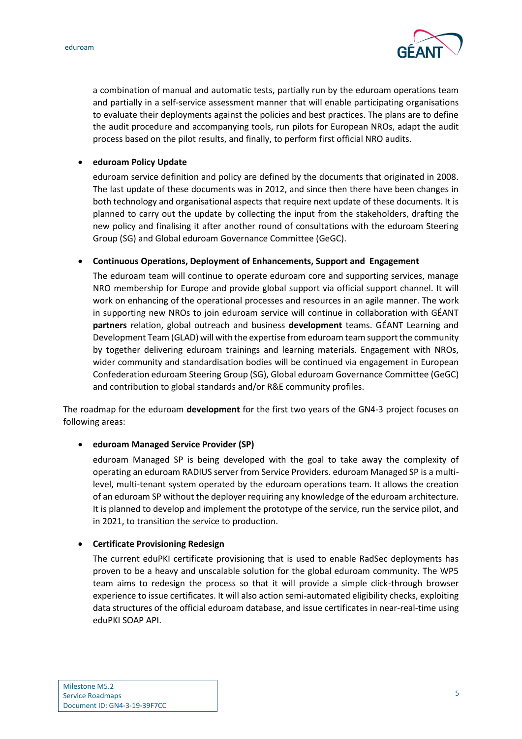

a combination of manual and automatic tests, partially run by the eduroam operations team and partially in a self-service assessment manner that will enable participating organisations to evaluate their deployments against the policies and best practices. The plans are to define the audit procedure and accompanying tools, run pilots for European NROs, adapt the audit process based on the pilot results, and finally, to perform first official NRO audits.

### **eduroam Policy Update**

eduroam service definition and policy are defined by the documents that originated in 2008. The last update of these documents was in 2012, and since then there have been changes in both technology and organisational aspects that require next update of these documents. It is planned to carry out the update by collecting the input from the stakeholders, drafting the new policy and finalising it after another round of consultations with the eduroam Steering Group (SG) and Global eduroam Governance Committee (GeGC).

### **Continuous Operations, Deployment of Enhancements, Support and Engagement**

The eduroam team will continue to operate eduroam core and supporting services, manage NRO membership for Europe and provide global support via official support channel. It will work on enhancing of the operational processes and resources in an agile manner. The work in supporting new NROs to join eduroam service will continue in collaboration with GÉANT **partners** relation, global outreach and business **development** teams. GÉANT Learning and Development Team (GLAD) will with the expertise from eduroam team support the community by together delivering eduroam trainings and learning materials. Engagement with NROs, wider community and standardisation bodies will be continued via engagement in European Confederation eduroam Steering Group (SG), Global eduroam Governance Committee (GeGC) and contribution to global standards and/or R&E community profiles.

The roadmap for the eduroam **development** for the first two years of the GN4-3 project focuses on following areas:

### **eduroam Managed Service Provider (SP)**

eduroam Managed SP is being developed with the goal to take away the complexity of operating an eduroam RADIUS server from Service Providers. eduroam Managed SP is a multilevel, multi-tenant system operated by the eduroam operations team. It allows the creation of an eduroam SP without the deployer requiring any knowledge of the eduroam architecture. It is planned to develop and implement the prototype of the service, run the service pilot, and in 2021, to transition the service to production.

### **Certificate Provisioning Redesign**

The current eduPKI certificate provisioning that is used to enable RadSec deployments has proven to be a heavy and unscalable solution for the global eduroam community. The WP5 team aims to redesign the process so that it will provide a simple click-through browser experience to issue certificates. It will also action semi-automated eligibility checks, exploiting data structures of the official eduroam database, and issue certificates in near-real-time using eduPKI SOAP API.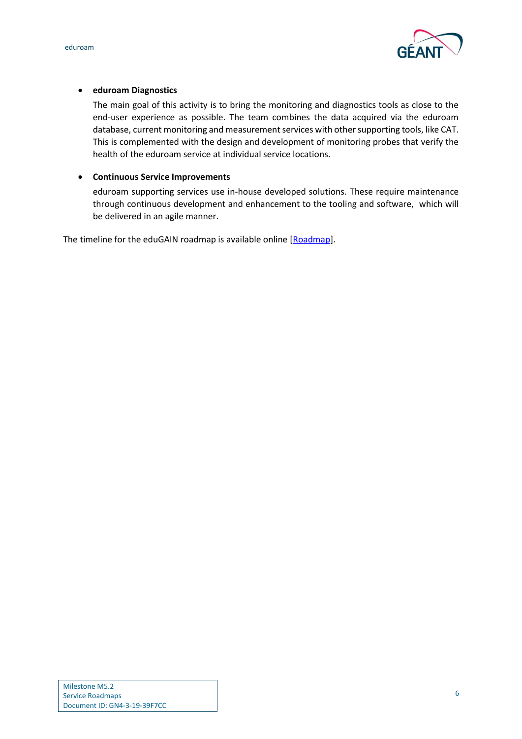



## **eduroam Diagnostics**

The main goal of this activity is to bring the monitoring and diagnostics tools as close to the end-user experience as possible. The team combines the data acquired via the eduroam database, current monitoring and measurement services with other supporting tools, like CAT. This is complemented with the design and development of monitoring probes that verify the health of the eduroam service at individual service locations.

## **Continuous Service Improvements**

eduroam supporting services use in-house developed solutions. These require maintenance through continuous development and enhancement to the tooling and software, which will be delivered in an agile manner.

The timeline for the eduGAIN roadmap is available online [\[Roadmap\]](#page-17-8).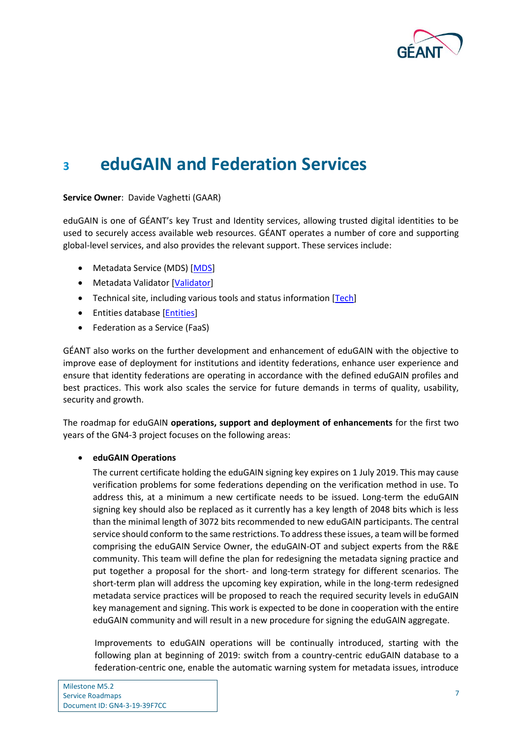

# <span id="page-8-0"></span>**<sup>3</sup> eduGAIN and Federation Services**

### **Service Owner**: Davide Vaghetti (GAAR)

eduGAIN is one of GÉANT's key Trust and Identity services, allowing trusted digital identities to be used to securely access available web resources. GÉANT operates a number of core and supporting global-level services, and also provides the relevant support. These services include:

- Metadata Service (MDS) [\[MDS\]](#page-17-9)
- Metadata Validator [\[Validator\]](#page-17-10)
- Technical site, including various tools and status information [\[Tech\]](#page-17-11)
- Entities database [\[Entities\]](#page-17-12)
- Federation as a Service (FaaS)

GÉANT also works on the further development and enhancement of eduGAIN with the objective to improve ease of deployment for institutions and identity federations, enhance user experience and ensure that identity federations are operating in accordance with the defined eduGAIN profiles and best practices. This work also scales the service for future demands in terms of quality, usability, security and growth.

The roadmap for eduGAIN **operations, support and deployment of enhancements** for the first two years of the GN4-3 project focuses on the following areas:

### **eduGAIN Operations**

The current certificate holding the eduGAIN signing key expires on 1 July 2019. This may cause verification problems for some federations depending on the verification method in use. To address this, at a minimum a new certificate needs to be issued. Long-term the eduGAIN signing key should also be replaced as it currently has a key length of 2048 bits which is less than the minimal length of 3072 bits recommended to new eduGAIN participants. The central service should conform to the same restrictions. To address these issues, a team will be formed comprising the eduGAIN Service Owner, the eduGAIN-OT and subject experts from the R&E community. This team will define the plan for redesigning the metadata signing practice and put together a proposal for the short- and long-term strategy for different scenarios. The short-term plan will address the upcoming key expiration, while in the long-term redesigned metadata service practices will be proposed to reach the required security levels in eduGAIN key management and signing. This work is expected to be done in cooperation with the entire eduGAIN community and will result in a new procedure for signing the eduGAIN aggregate.

Improvements to eduGAIN operations will be continually introduced, starting with the following plan at beginning of 2019: switch from a country-centric eduGAIN database to a federation-centric one, enable the automatic warning system for metadata issues, introduce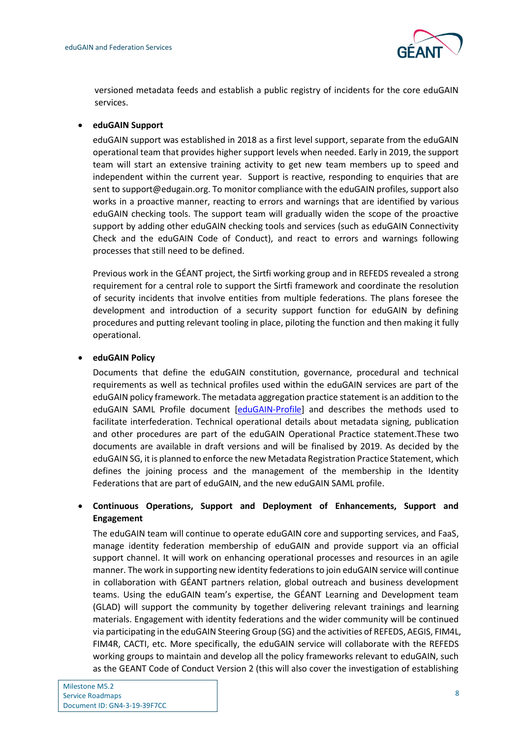

versioned metadata feeds and establish a public registry of incidents for the core eduGAIN services.

### **eduGAIN Support**

eduGAIN support was established in 2018 as a first level support, separate from the eduGAIN operational team that provides higher support levels when needed. Early in 2019, the support team will start an extensive training activity to get new team members up to speed and independent within the current year. Support is reactive, responding to enquiries that are sent to support@edugain.org. To monitor compliance with the eduGAIN profiles, support also works in a proactive manner, reacting to errors and warnings that are identified by various eduGAIN checking tools. The support team will gradually widen the scope of the proactive support by adding other eduGAIN checking tools and services (such as eduGAIN Connectivity Check and the eduGAIN Code of Conduct), and react to errors and warnings following processes that still need to be defined.

Previous work in the GÉANT project, the Sirtfi working group and in REFEDS revealed a strong requirement for a central role to support the Sirtfi framework and coordinate the resolution of security incidents that involve entities from multiple federations. The plans foresee the development and introduction of a security support function for eduGAIN by defining procedures and putting relevant tooling in place, piloting the function and then making it fully operational.

### **eduGAIN Policy**

Documents that define the eduGAIN constitution, governance, procedural and technical requirements as well as technical profiles used within the eduGAIN services are part of the eduGAIN policy framework. The metadata aggregation practice statement is an addition to the eduGAIN SAML Profile document [\[eduGAIN-Profile\]](#page-17-13) and describes the methods used to facilitate interfederation. Technical operational details about metadata signing, publication and other procedures are part of the eduGAIN Operational Practice statement.These two documents are available in draft versions and will be finalised by 2019. As decided by the eduGAIN SG, it is planned to enforce the new Metadata Registration Practice Statement, which defines the joining process and the management of the membership in the Identity Federations that are part of eduGAIN, and the new eduGAIN SAML profile.

## **Continuous Operations, Support and Deployment of Enhancements, Support and Engagement**

The eduGAIN team will continue to operate eduGAIN core and supporting services, and FaaS, manage identity federation membership of eduGAIN and provide support via an official support channel. It will work on enhancing operational processes and resources in an agile manner. The work in supporting new identity federations to join eduGAIN service will continue in collaboration with GÉANT partners relation, global outreach and business development teams. Using the eduGAIN team's expertise, the GÉANT Learning and Development team (GLAD) will support the community by together delivering relevant trainings and learning materials. Engagement with identity federations and the wider community will be continued via participating in the eduGAIN Steering Group (SG) and the activities of REFEDS, AEGIS, FIM4L, FIM4R, CACTI, etc. More specifically, the eduGAIN service will collaborate with the REFEDS working groups to maintain and develop all the policy frameworks relevant to eduGAIN, such as the GEANT Code of Conduct Version 2 (this will also cover the investigation of establishing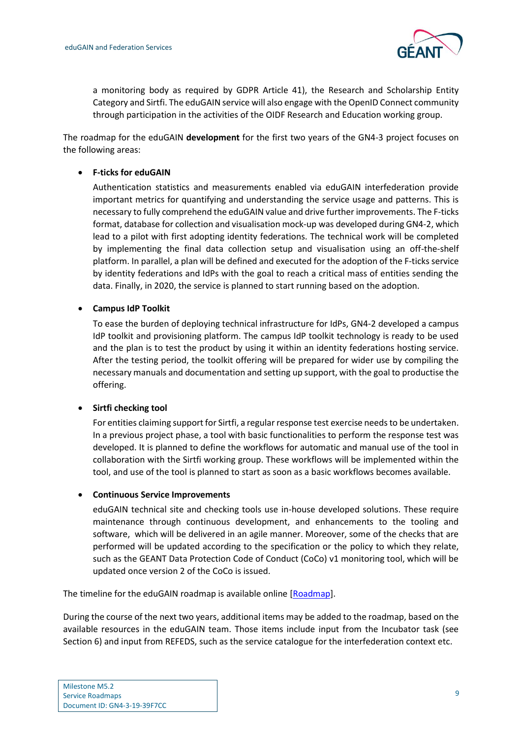

a monitoring body as required by GDPR Article 41), the Research and Scholarship Entity Category and Sirtfi. The eduGAIN service will also engage with the OpenID Connect community through participation in the activities of the OIDF Research and Education working group.

The roadmap for the eduGAIN **development** for the first two years of the GN4-3 project focuses on the following areas:

### **F-ticks for eduGAIN**

Authentication statistics and measurements enabled via eduGAIN interfederation provide important metrics for quantifying and understanding the service usage and patterns. This is necessary to fully comprehend the eduGAIN value and drive further improvements. The F-ticks format, database for collection and visualisation mock-up was developed during GN4-2, which lead to a pilot with first adopting identity federations. The technical work will be completed by implementing the final data collection setup and visualisation using an off-the-shelf platform. In parallel, a plan will be defined and executed for the adoption of the F-ticks service by identity federations and IdPs with the goal to reach a critical mass of entities sending the data. Finally, in 2020, the service is planned to start running based on the adoption.

### **Campus IdP Toolkit**

To ease the burden of deploying technical infrastructure for IdPs, GN4-2 developed a campus IdP toolkit and provisioning platform. The campus IdP toolkit technology is ready to be used and the plan is to test the product by using it within an identity federations hosting service. After the testing period, the toolkit offering will be prepared for wider use by compiling the necessary manuals and documentation and setting up support, with the goal to productise the offering.

### **•** Sirtfi checking tool

For entities claiming support for Sirtfi, a regular response test exercise needs to be undertaken. In a previous project phase, a tool with basic functionalities to perform the response test was developed. It is planned to define the workflows for automatic and manual use of the tool in collaboration with the Sirtfi working group. These workflows will be implemented within the tool, and use of the tool is planned to start as soon as a basic workflows becomes available.

### **Continuous Service Improvements**

eduGAIN technical site and checking tools use in-house developed solutions. These require maintenance through continuous development, and enhancements to the tooling and software, which will be delivered in an agile manner. Moreover, some of the checks that are performed will be updated according to the specification or the policy to which they relate, such as the GEANT Data Protection Code of Conduct (CoCo) v1 monitoring tool, which will be updated once version 2 of the CoCo is issued.

The timeline for the eduGAIN roadmap is available online [\[Roadmap\]](#page-17-8).

During the course of the next two years, additional items may be added to the roadmap, based on the available resources in the eduGAIN team. Those items include input from the Incubator task (see Section 6) and input from REFEDS, such as the service catalogue for the interfederation context etc.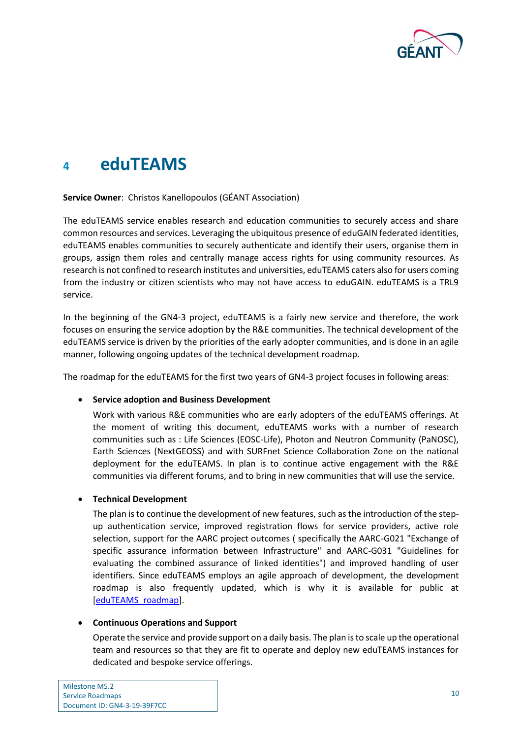

# <span id="page-11-0"></span>**<sup>4</sup> eduTEAMS**

### **Service Owner**: Christos Kanellopoulos (GÉANT Association)

The eduTEAMS service enables research and education communities to securely access and share common resources and services. Leveraging the ubiquitous presence of eduGAIN federated identities, eduTEAMS enables communities to securely authenticate and identify their users, organise them in groups, assign them roles and centrally manage access rights for using community resources. As research is not confined to research institutes and universities, eduTEAMS caters also for users coming from the industry or citizen scientists who may not have access to eduGAIN. eduTEAMS is a TRL9 service.

In the beginning of the GN4-3 project, eduTEAMS is a fairly new service and therefore, the work focuses on ensuring the service adoption by the R&Е communities. The technical development of the eduTEAMS service is driven by the priorities of the early adopter communities, and is done in an agile manner, following ongoing updates of the technical development roadmap.

The roadmap for the eduTEAMS for the first two years of GN4-3 project focuses in following areas:

### **Service adoption and Business Development**

Work with various R&E communities who are early adopters of the eduTEAMS offerings. At the moment of writing this document, eduTEAMS works with a number of research communities such as : Life Sciences (EOSC-Life), Photon and Neutron Community (PaNOSC), Earth Sciences (NextGEOSS) and with SURFnet Science Collaboration Zone on the national deployment for the eduTEAMS. In plan is to continue active engagement with the R&Е communities via different forums, and to bring in new communities that will use the service.

### **Technical Development**

The plan is to continue the development of new features, such as the introduction of the stepup authentication service, improved registration flows for service providers, active role selection, support for the AARC project outcomes ( specifically the AARC-G021 "Exchange of specific assurance information between Infrastructure" and AARC-G031 "Guidelines for evaluating the combined assurance of linked identities") and improved handling of user identifiers. Since eduTEAMS employs an agile approach of development, the development roadmap is also frequently updated, which is why it is available for public at [\[eduTEAMS\\_roadmap\]](#page-17-14).

### **Continuous Operations and Support**

Operate the service and provide support on a daily basis. The plan is to scale up the operational team and resources so that they are fit to operate and deploy new eduTEAMS instances for dedicated and bespoke service offerings.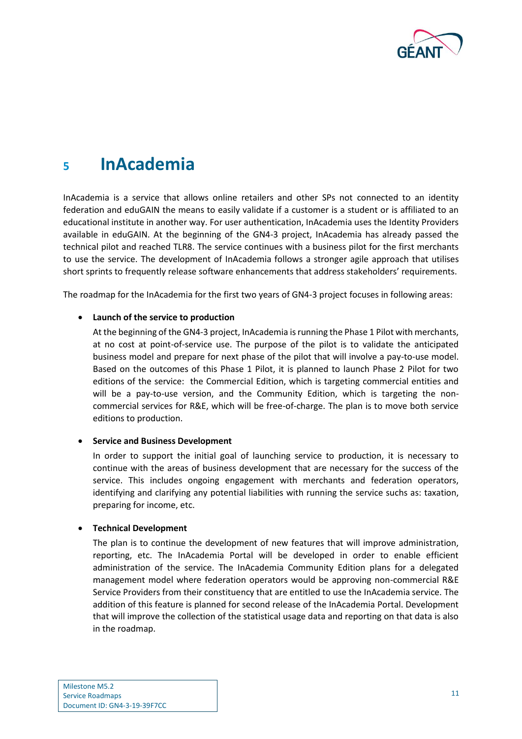

# <span id="page-12-0"></span>**<sup>5</sup> InAcademia**

InAcademia is a service that allows online retailers and other SPs not connected to an identity federation and eduGAIN the means to easily validate if a customer is a student or is affiliated to an educational institute in another way. For user authentication, InAcademia uses the Identity Providers available in eduGAIN. At the beginning of the GN4-3 project, InAcademia has already passed the technical pilot and reached TLR8. The service continues with a business pilot for the first merchants to use the service. The development of InAcademia follows a stronger agile approach that utilises short sprints to frequently release software enhancements that address stakeholders' requirements.

The roadmap for the InAcademia for the first two years of GN4-3 project focuses in following areas:

### **Launch of the service to production**

At the beginning of the GN4-3 project, InAcademia is running the Phase 1 Pilot with merchants, at no cost at point-of-service use. The purpose of the pilot is to validate the anticipated business model and prepare for next phase of the pilot that will involve a pay-to-use model. Based on the outcomes of this Phase 1 Pilot, it is planned to launch Phase 2 Pilot for two editions of the service: the Commercial Edition, which is targeting commercial entities and will be a pay-to-use version, and the Community Edition, which is targeting the noncommercial services for R&E, which will be free-of-charge. The plan is to move both service editions to production.

### **•** Service and Business Development

In order to support the initial goal of launching service to production, it is necessary to continue with the areas of business development that are necessary for the success of the service. This includes ongoing engagement with merchants and federation operators, identifying and clarifying any potential liabilities with running the service suchs as: taxation, preparing for income, etc.

### **Technical Development**

The plan is to continue the development of new features that will improve administration, reporting, etc. The InAcademia Portal will be developed in order to enable efficient administration of the service. The InAcademia Community Edition plans for a delegated management model where federation operators would be approving non-commercial R&E Service Providers from their constituency that are entitled to use the InAcademia service. The addition of this feature is planned for second release of the InAcademia Portal. Development that will improve the collection of the statistical usage data and reporting on that data is also in the roadmap.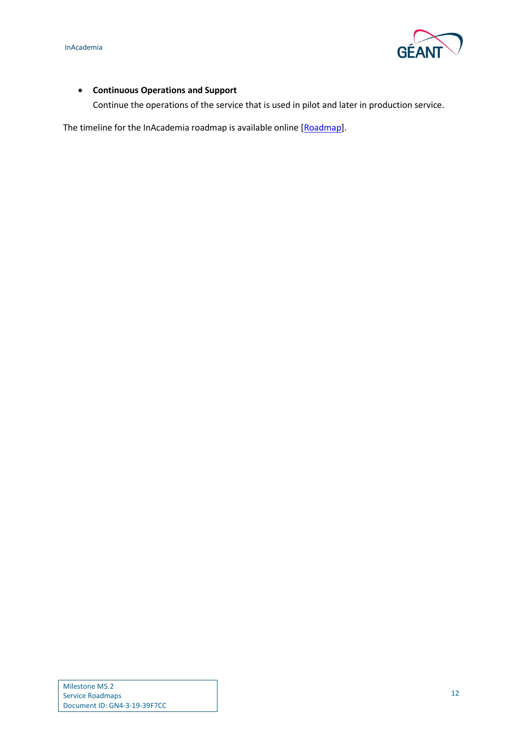

## **Continuous Operations and Support**

Continue the operations of the service that is used in pilot and later in production service.

The timeline for the InAcademia roadmap is available online [\[Roadmap\]](#page-17-8).

Milestone M5.2 Service Roadmaps Document ID: GN4-3-19-39F7CC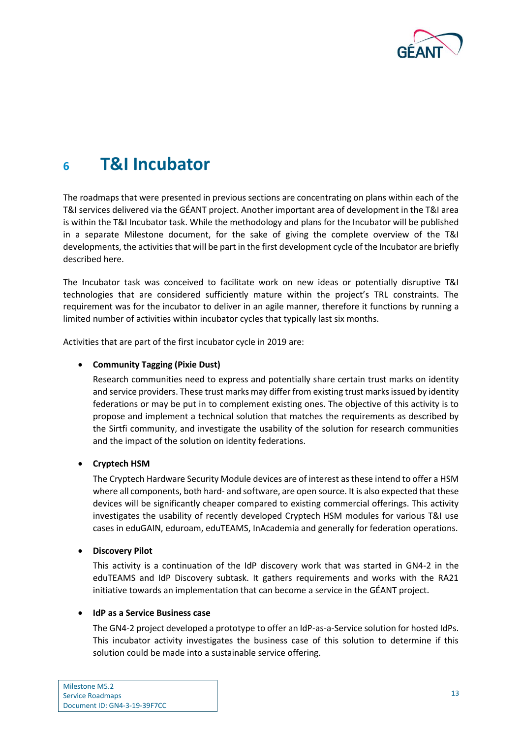

# <span id="page-14-0"></span>**<sup>6</sup> T&I Incubator**

The roadmaps that were presented in previous sections are concentrating on plans within each of the T&I services delivered via the GÉANT project. Another important area of development in the T&I area is within the T&I Incubator task. While the methodology and plans for the Incubator will be published in a separate Milestone document, for the sake of giving the complete overview of the T&I developments, the activities that will be part in the first development cycle of the Incubator are briefly described here.

The Incubator task was conceived to facilitate work on new ideas or potentially disruptive T&I technologies that are considered sufficiently mature within the project's TRL constraints. The requirement was for the incubator to deliver in an agile manner, therefore it functions by running a limited number of activities within incubator cycles that typically last six months.

Activities that are part of the first incubator cycle in 2019 are:

### **Community Tagging (Pixie Dust)**

Research communities need to express and potentially share certain trust marks on identity and service providers. These trust marks may differ from existing trust marks issued by identity federations or may be put in to complement existing ones. The objective of this activity is to propose and implement a technical solution that matches the requirements as described by the Sirtfi community, and investigate the usability of the solution for research communities and the impact of the solution on identity federations.

### **Cryptech HSM**

The Cryptech Hardware Security Module devices are of interest as these intend to offer a HSM where all components, both hard- and software, are open source. It is also expected that these devices will be significantly cheaper compared to existing commercial offerings. This activity investigates the usability of recently developed Cryptech HSM modules for various T&I use cases in eduGAIN, eduroam, eduTEAMS, InAcademia and generally for federation operations.

### **Discovery Pilot**

This activity is a continuation of the IdP discovery work that was started in GN4-2 in the eduTEAMS and IdP Discovery subtask. It gathers requirements and works with the RA21 initiative towards an implementation that can become a service in the GÉANT project.

### **IdP as a Service Business case**

The GN4-2 project developed a prototype to offer an IdP-as-a-Service solution for hosted IdPs. This incubator activity investigates the business case of this solution to determine if this solution could be made into a sustainable service offering.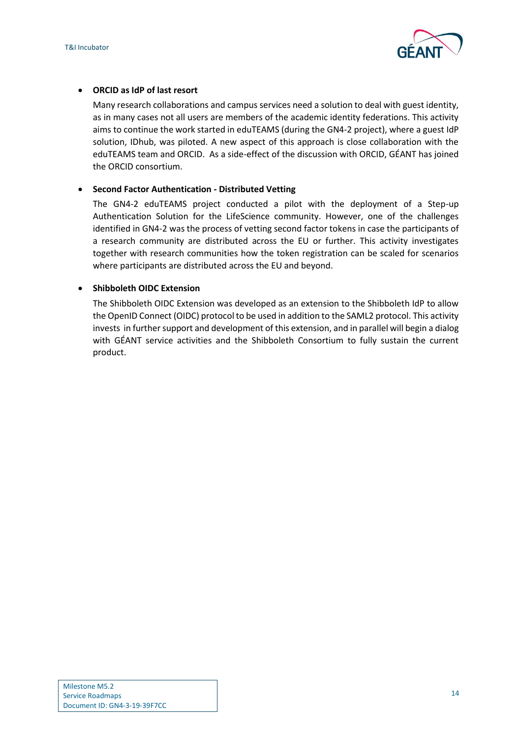

### **ORCID as IdP of last resort**

Many research collaborations and campus services need a solution to deal with guest identity, as in many cases not all users are members of the academic identity federations. This activity aims to continue the work started in eduTEAMS (during the GN4-2 project), where a guest IdP solution, IDhub, was piloted. A new aspect of this approach is close collaboration with the eduTEAMS team and ORCID. As a side-effect of the discussion with ORCID, GÉANT has joined the ORCID consortium.

### **Second Factor Authentication - Distributed Vetting**

The GN4-2 eduTEAMS project conducted a pilot with the deployment of a Step-up Authentication Solution for the LifeScience community. However, one of the challenges identified in GN4-2 was the process of vetting second factor tokens in case the participants of a research community are distributed across the EU or further. This activity investigates together with research communities how the token registration can be scaled for scenarios where participants are distributed across the EU and beyond.

### **Shibboleth OIDC Extension**

The Shibboleth OIDC Extension was developed as an extension to the Shibboleth IdP to allow the OpenID Connect (OIDC) protocol to be used in addition to the SAML2 protocol. This activity invests in further support and development of this extension, and in parallel will begin a dialog with GÉANT service activities and the Shibboleth Consortium to fully sustain the current product.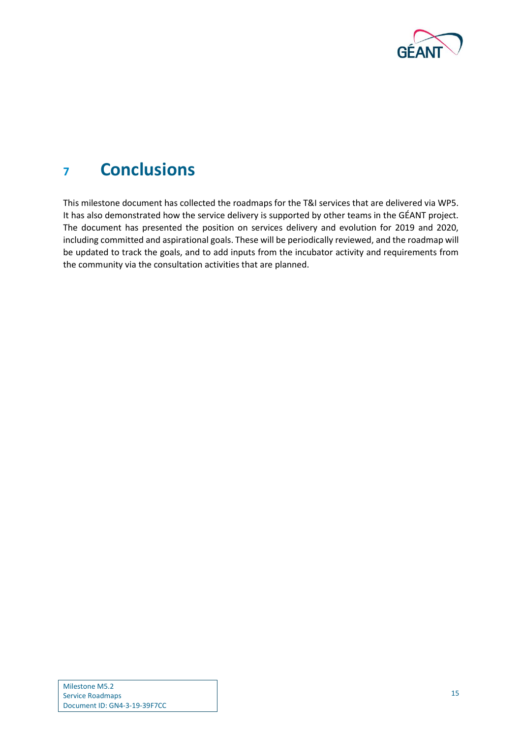

# <span id="page-16-0"></span>**<sup>7</sup> Conclusions**

This milestone document has collected the roadmaps for the T&I services that are delivered via WP5. It has also demonstrated how the service delivery is supported by other teams in the GÉANT project. The document has presented the position on services delivery and evolution for 2019 and 2020, including committed and aspirational goals. These will be periodically reviewed, and the roadmap will be updated to track the goals, and to add inputs from the incubator activity and requirements from the community via the consultation activities that are planned.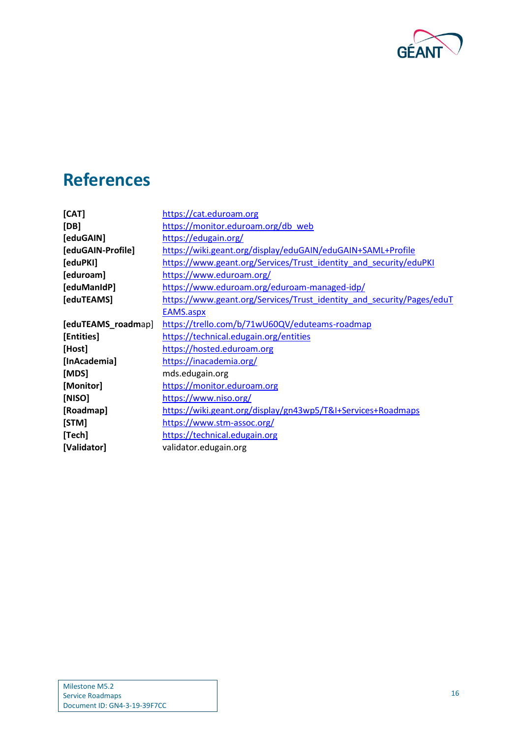

# <span id="page-17-0"></span>**References**

<span id="page-17-14"></span><span id="page-17-13"></span><span id="page-17-12"></span><span id="page-17-11"></span><span id="page-17-10"></span><span id="page-17-9"></span><span id="page-17-8"></span><span id="page-17-7"></span><span id="page-17-6"></span><span id="page-17-5"></span><span id="page-17-4"></span><span id="page-17-3"></span><span id="page-17-2"></span><span id="page-17-1"></span>

| [CAT]              | https://cat.eduroam.org                                               |
|--------------------|-----------------------------------------------------------------------|
| [DB]               | https://monitor.eduroam.org/db_web                                    |
| [eduGAIN]          | https://edugain.org/                                                  |
| [eduGAIN-Profile]  | https://wiki.geant.org/display/eduGAIN/eduGAIN+SAML+Profile           |
| [eduPKI]           | https://www.geant.org/Services/Trust_identity_and_security/eduPKI     |
| [eduroam]          | https://www.eduroam.org/                                              |
| [eduManIdP]        | https://www.eduroam.org/eduroam-managed-idp/                          |
| [eduTEAMS]         | https://www.geant.org/Services/Trust_identity_and_security/Pages/eduT |
|                    | EAMS.aspx                                                             |
| [eduTEAMS_roadmap] | https://trello.com/b/71wU60QV/eduteams-roadmap                        |
| [Entities]         | https://technical.edugain.org/entities                                |
| [Host]             | https://hosted.eduroam.org                                            |
| [InAcademia]       | https://inacademia.org/                                               |
| [MDS]              | mds.edugain.org                                                       |
| [Monitor]          | https://monitor.eduroam.org                                           |
| [NISO]             | https://www.niso.org/                                                 |
| [Roadmap]          | https://wiki.geant.org/display/gn43wp5/T&I+Services+Roadmaps          |
| [STM]              | https://www.stm-assoc.org/                                            |
| [Tech]             | https://technical.edugain.org                                         |
| [Validator]        | validator.edugain.org                                                 |